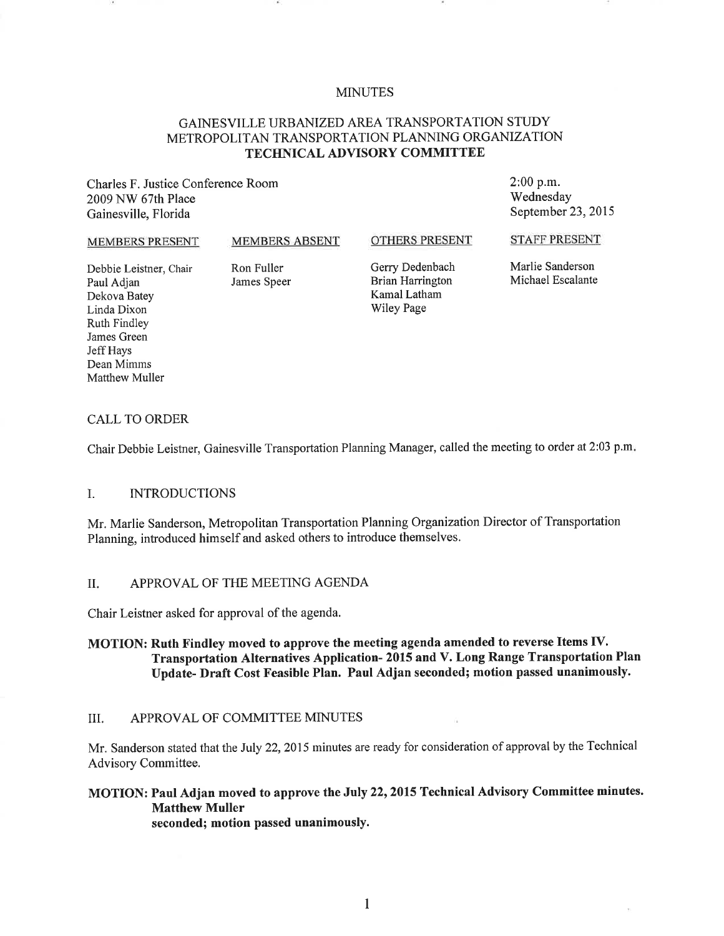### MINUTES

### GAINESVILLE URBANIZED AREA TRANSPORTATION STUDY METROPOLITAN TRANSPORTATION PLANNING ORGANIZATION TECHNICAL ADVISORY COMMITTEE

Charles F. Justice Conference Room 2009 NW 67th Place Gainesville, Florida

2:00 p.m. Wednesday September 23, 2015

#### MEMBERS PRESENT

#### MEMBERS ABSENT

#### OTHERS PRESENT

Debbie Leistner, Chair Paul Adjan Dekova Batey Linda Dixon Ruth Findley James Green Jeff Hays Dean Mimms Matthew Muller

Ron Fuller James Speer Gerry Dedenbach Brian Harrington Kamal Latham Wiley Page

STAFF PRESENT

Marlie Sanderson Michael Escalante

#### CALL TO ORDER

Chair Debbie Leistner, Gainesville Transportation Planning Manager, called the meeting to order at 2:03 p.m.

#### I. INTRODUCTIONS

Mr. Marlie Sanderson, Metropolitan Transportation Planning Organization Director of Transportation Planning, introduced himself and asked others to introduce themselves.

#### II. APPROVAL OF THE MEETING AGENDA

Chair Leistner asked for approval of the agenda.

### MOTION: Ruth Findley moved to approve the meeting agenda amended to reverse Items IV. Transportation Alternatives Application- <sup>2015</sup>and V. Long Range Transportation Plan Update- Draft Cost Feasible Plan. Paul Adjan seconded; motion passed unanimously.

#### III. APPROVAL OF COMMITTEE MINUTES

Mr. Sanderson stated that the July 22, 2015 minutes are ready for consideration of approval by the Technical Advisory Committee.

# MOTION: Paul Adjan moved to approve the July 22, 2015 Technical Advisory Committee minutes. Matthew Muller

seconded; motion passed unanimously.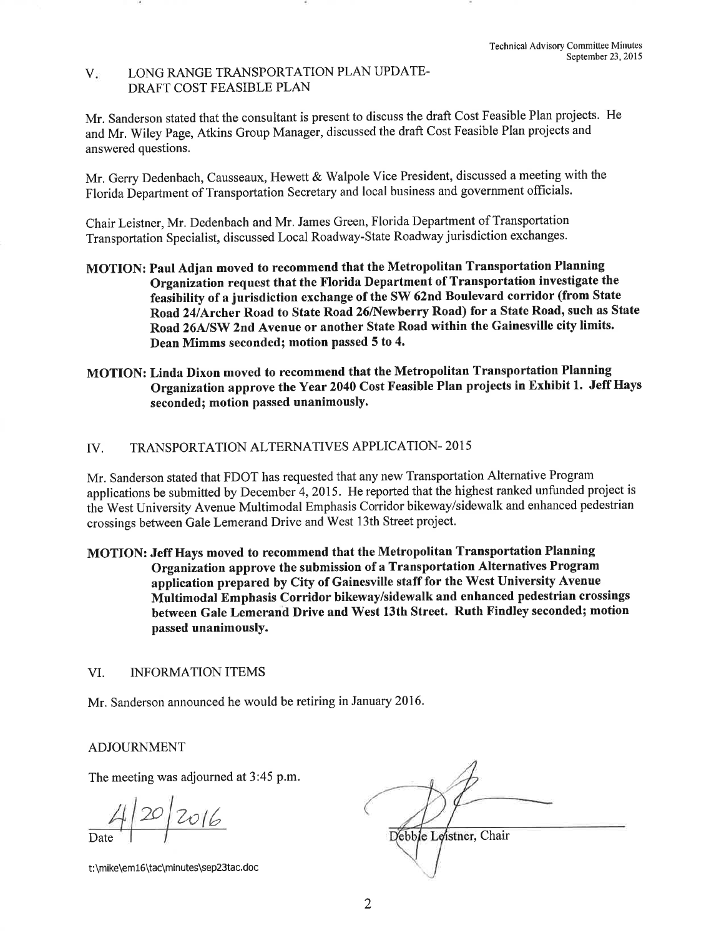### V. LONG RANGE TRANSPORTATION PLAN UPDATE-DRAFT COST FEASIBLE PLAN

Mr. Sanderson stated that the consultant is present to discuss the draft Cost Feasible Plan projects. He and Mr. Wiley Page, Atkins Group Manager, discussed the draft Cost Feasible Plan projects and answered questions.

Mr. Gerry Dedenbach, Causseaux, Hewett & Walpole Vice President, discussed a meeting with the Florida Department of Transportation Secretary and local business and government officials.

Chair Leistner, Mr. Dedenbach and Mr. James Green, Florida Department of Transportation Transportation Specialist, discussed Local Roadway-State Roadway jurisdiction exchanges.

- MOTION: Paul Adjan moved to recommend that the Metropolitan Transportation Planning Organization request that the Florida Department of Transportation investigate the feasibility of a jurisdiction exchange of the SW 62nd Boulevard corridor (from State Road 24/Archer Road to State Road 26/Newberry Road) for a State Road, such as State Road 26A/SW 2nd Avenue or another State Road within the Gainesville city limits. Dean Mimms seconded; motion passed 5 to 4.
- MOTION: Linda Dixon moved to recommend that the Metropolitan Transportation Planning Organization approve the Year 2040 Cost Feasible Plan projects in Exhibit 1. Jeff Hays seconded; motion passed unanimously.

## IV. TRANSPORTATION ALTERNATIVES APPLICATION-2015

Mr. Sanderson stated that FDOT has requested that any new Transportation Alternative Program applications be submitted by December 4, 2015. He reported that the highest ranked unfunded project is the West University Avenue Multimodal Emphasis Corridor bikeway/sidewalk and enhanced pedestrian crossings between Gale Lemerand Drive and West 13th Street project.

MOTION: Jeff Hays moved to recommend that the Metropolitan Transportation Planning Organization approve the submission of a Transportation Alternatives Program application prepared by City of Gainesville staff for the West University Avenue Multimodal Emphasis Corridor bikeway/sidewalk and enhanced pedestrian crossings between Gale Lemerand Drive and West 13th Street. Ruth Findley seconded; motion passed unanimously.

## VI. INFORMATION ITEMS

Mr. Sanderson announced he would be retiring in January 2016.

## ADJOURNMENT

The meeting was adjourned at 3:45 p.m.

 $20/2016$ 

t:\mike\em16\tac\minutes\sep23tac.doc

Debble Leistner, Chair